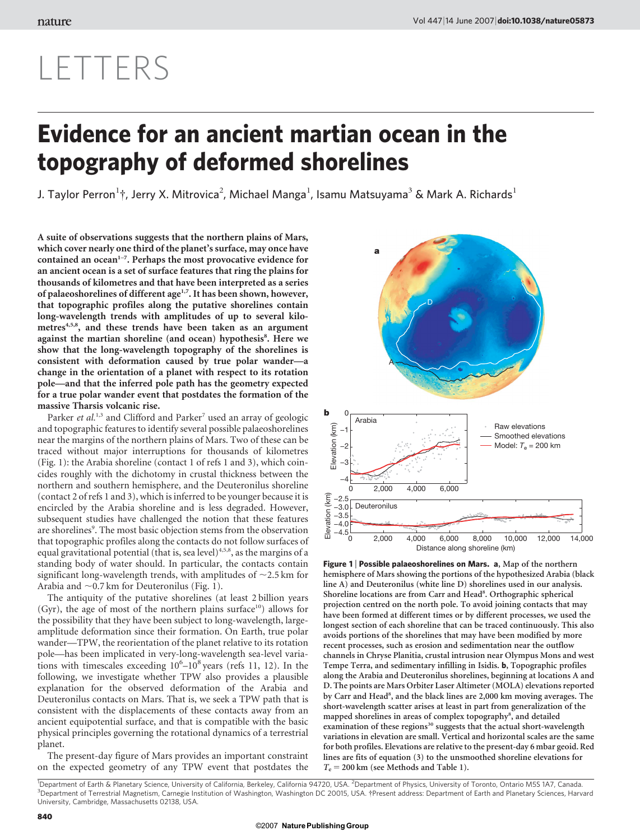## LETTERS

## Evidence for an ancient martian ocean in the topography of deformed shorelines

J. Taylor Perron $^1$ †, Jerry X. Mitrovica $^2$ , Michael Manga $^1$ , Isamu Matsuyama $^3$  & Mark A. Richards $^1$ 

A suite of observations suggests that the northern plains of Mars, which cover nearly one third of the planet's surface, may once have contained an ocean<sup> $1-7$ </sup>. Perhaps the most provocative evidence for an ancient ocean is a set of surface features that ring the plains for thousands of kilometres and that have been interpreted as a series of palaeoshorelines of different age<sup>1,7</sup>. It has been shown, however, that topographic profiles along the putative shorelines contain long-wavelength trends with amplitudes of up to several kilometres<sup>4,5,8</sup>, and these trends have been taken as an argument against the martian shoreline (and ocean) hypothesis<sup>8</sup>. Here we show that the long-wavelength topography of the shorelines is consistent with deformation caused by true polar wander—a change in the orientation of a planet with respect to its rotation pole—and that the inferred pole path has the geometry expected for a true polar wander event that postdates the formation of the massive Tharsis volcanic rise.

Parker et al.<sup>1,3</sup> and Clifford and Parker<sup>7</sup> used an array of geologic and topographic features to identify several possible palaeoshorelines near the margins of the northern plains of Mars. Two of these can be traced without major interruptions for thousands of kilometres (Fig. 1): the Arabia shoreline (contact 1 of refs 1 and 3), which coincides roughly with the dichotomy in crustal thickness between the northern and southern hemisphere, and the Deuteronilus shoreline (contact 2 of refs 1 and 3), which is inferred to be younger because it is encircled by the Arabia shoreline and is less degraded. However, subsequent studies have challenged the notion that these features are shorelines<sup>9</sup>. The most basic objection stems from the observation that topographic profiles along the contacts do not follow surfaces of equal gravitational potential (that is, sea level)<sup>4,5,8</sup>, as the margins of a standing body of water should. In particular, the contacts contain significant long-wavelength trends, with amplitudes of  $\sim$  2.5 km for Arabia and  $\sim$  0.7 km for Deuteronilus (Fig. 1).

The antiquity of the putative shorelines (at least 2 billion years (Gyr), the age of most of the northern plains surface<sup>10</sup>) allows for the possibility that they have been subject to long-wavelength, largeamplitude deformation since their formation. On Earth, true polar wander—TPW, the reorientation of the planet relative to its rotation pole—has been implicated in very-long-wavelength sea-level variations with timescales exceeding  $10^6 - 10^8$  years (refs 11, 12). In the following, we investigate whether TPW also provides a plausible explanation for the observed deformation of the Arabia and Deuteronilus contacts on Mars. That is, we seek a TPW path that is consistent with the displacements of these contacts away from an ancient equipotential surface, and that is compatible with the basic physical principles governing the rotational dynamics of a terrestrial planet.

The present-day figure of Mars provides an important constraint on the expected geometry of any TPW event that postdates the



Figure 1 | Possible palaeoshorelines on Mars. a, Map of the northern hemisphere of Mars showing the portions of the hypothesized Arabia (black line A) and Deuteronilus (white line D) shorelines used in our analysis. Shoreline locations are from Carr and Head<sup>8</sup>. Orthographic spherical projection centred on the north pole. To avoid joining contacts that may have been formed at different times or by different processes, we used the longest section of each shoreline that can be traced continuously. This also avoids portions of the shorelines that may have been modified by more recent processes, such as erosion and sedimentation near the outflow channels in Chryse Planitia, crustal intrusion near Olympus Mons and west Tempe Terra, and sedimentary infilling in Isidis. b, Topographic profiles along the Arabia and Deuteronilus shorelines, beginning at locations A and D. The points are Mars Orbiter Laser Altimeter (MOLA) elevations reported by Carr and Head<sup>8</sup>, and the black lines are 2,000 km moving averages. The short-wavelength scatter arises at least in part from generalization of the mapped shorelines in areas of complex topography<sup>8</sup>, and detailed examination of these regions<sup>30</sup> suggests that the actual short-wavelength variations in elevation are small. Vertical and horizontal scales are the same for both profiles. Elevations are relative to the present-day 6 mbar geoid. Red lines are fits of equation (3) to the unsmoothed shoreline elevations for  $T_e$  = 200 km (see Methods and Table 1).

<sup>1</sup>Department of Earth & Planetary Science, University of California, Berkeley, California 94720, USA. <sup>2</sup>Department of Physics, University of Toronto, Ontario M5S 1A7, Canada.<br><sup>3</sup>Department of Terrestrial Magnetism, Carne <sup>3</sup>Department of Terrestrial Magnetism, Carnegie Institution of Washington, Washington DC 20015, USA. †Present address: Department of Earth and Planetary Sciences, Harvard University, Cambridge, Massachusetts 02138, USA.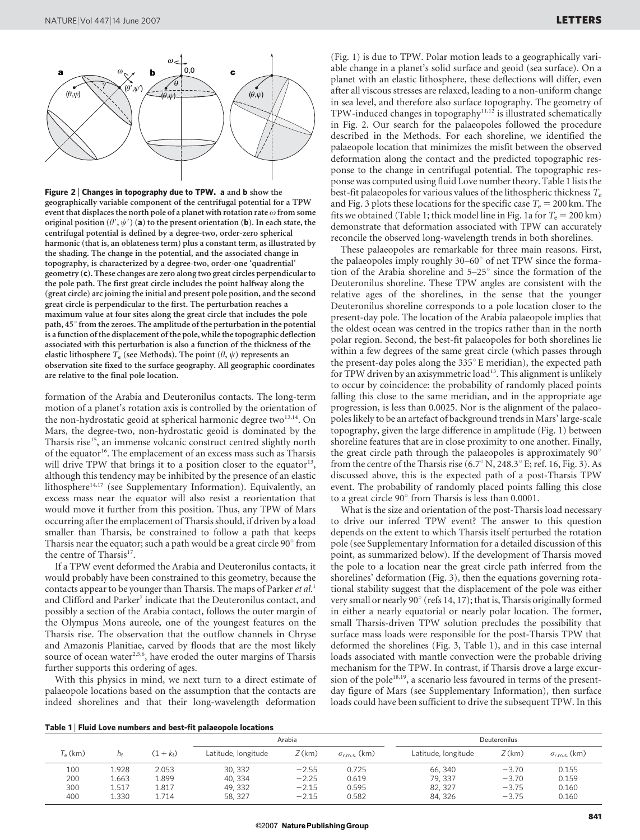

Figure 2 | Changes in topography due to TPW. a and b show the geographically variable component of the centrifugal potential for a TPW event that displaces the north pole of a planet with rotation rate  $\omega$  from some original position  $(\theta', \psi')$  (a) to the present orientation (b). In each state, the centrifugal potential is defined by a degree-two, order-zero spherical harmonic (that is, an oblateness term) plus a constant term, as illustrated by the shading. The change in the potential, and the associated change in topography, is characterized by a degree-two, order-one 'quadrential' geometry (c). These changes are zero along two great circles perpendicular to the pole path. The first great circle includes the point halfway along the (great circle) arc joining the initial and present pole position, and the second great circle is perpendicular to the first. The perturbation reaches a maximum value at four sites along the great circle that includes the pole path, 45° from the zeroes. The amplitude of the perturbation in the potential is a function of the displacement of the pole, while the topographic deflection associated with this perturbation is also a function of the thickness of the elastic lithosphere  $T_e$  (see Methods). The point  $(\theta, \psi)$  represents an observation site fixed to the surface geography. All geographic coordinates are relative to the final pole location.

formation of the Arabia and Deuteronilus contacts. The long-term motion of a planet's rotation axis is controlled by the orientation of the non-hydrostatic geoid at spherical harmonic degree two<sup>13,14</sup>. On Mars, the degree-two, non-hydrostatic geoid is dominated by the Tharsis rise<sup>15</sup>, an immense volcanic construct centred slightly north of the equator<sup>16</sup>. The emplacement of an excess mass such as Tharsis will drive TPW that brings it to a position closer to the equator<sup>13</sup>, although this tendency may be inhibited by the presence of an elastic lithosphere<sup>14,17</sup> (see Supplementary Information). Equivalently, an excess mass near the equator will also resist a reorientation that would move it further from this position. Thus, any TPW of Mars occurring after the emplacement of Tharsis should, if driven by a load smaller than Tharsis, be constrained to follow a path that keeps Tharsis near the equator; such a path would be a great circle  $90^\circ$  from the centre of Tharsis<sup>17</sup>.

If a TPW event deformed the Arabia and Deuteronilus contacts, it would probably have been constrained to this geometry, because the contacts appear to be younger than Tharsis. The maps of Parker et al.<sup>1</sup> and Clifford and Parker<sup>7</sup> indicate that the Deuteronilus contact, and possibly a section of the Arabia contact, follows the outer margin of the Olympus Mons aureole, one of the youngest features on the Tharsis rise. The observation that the outflow channels in Chryse and Amazonis Planitiae, carved by floods that are the most likely source of ocean water<sup>2,5,6</sup>, have eroded the outer margins of Tharsis further supports this ordering of ages.

With this physics in mind, we next turn to a direct estimate of palaeopole locations based on the assumption that the contacts are indeed shorelines and that their long-wavelength deformation

(Fig. 1) is due to TPW. Polar motion leads to a geographically variable change in a planet's solid surface and geoid (sea surface). On a planet with an elastic lithosphere, these deflections will differ, even after all viscous stresses are relaxed, leading to a non-uniform change in sea level, and therefore also surface topography. The geometry of  $TPW$ -induced changes in topography<sup>11,12</sup> is illustrated schematically in Fig. 2. Our search for the palaeopoles followed the procedure described in the Methods. For each shoreline, we identified the palaeopole location that minimizes the misfit between the observed deformation along the contact and the predicted topographic response to the change in centrifugal potential. The topographic response was computed using fluid Love number theory. Table 1 lists the best-fit palaeopoles for various values of the lithospheric thickness  $T_e$ and Fig. 3 plots these locations for the specific case  $T_e = 200$  km. The fits we obtained (Table 1; thick model line in Fig. 1a for  $T_e = 200 \text{ km}$ ) demonstrate that deformation associated with TPW can accurately reconcile the observed long-wavelength trends in both shorelines.

These palaeopoles are remarkable for three main reasons. First, the palaeopoles imply roughly  $30-60^\circ$  of net TPW since the formation of the Arabia shoreline and  $5-25^\circ$  since the formation of the Deuteronilus shoreline. These TPW angles are consistent with the relative ages of the shorelines, in the sense that the younger Deuteronilus shoreline corresponds to a pole location closer to the present-day pole. The location of the Arabia palaeopole implies that the oldest ocean was centred in the tropics rather than in the north polar region. Second, the best-fit palaeopoles for both shorelines lie within a few degrees of the same great circle (which passes through the present-day poles along the  $335^\circ$  E meridian), the expected path for TPW driven by an axisymmetric load<sup>13</sup>. This alignment is unlikely to occur by coincidence: the probability of randomly placed points falling this close to the same meridian, and in the appropriate age progression, is less than 0.0025. Nor is the alignment of the palaeopoles likely to be an artefact of background trends in Mars' large-scale topography, given the large difference in amplitude (Fig. 1) between shoreline features that are in close proximity to one another. Finally, the great circle path through the palaeopoles is approximately  $90^\circ$ from the centre of the Tharsis rise  $(6.7^{\circ}$  N, 248.3 $^{\circ}$  E; ref. 16, Fig. 3). As discussed above, this is the expected path of a post-Tharsis TPW event. The probability of randomly placed points falling this close to a great circle  $90^\circ$  from Tharsis is less than 0.0001.

What is the size and orientation of the post-Tharsis load necessary to drive our inferred TPW event? The answer to this question depends on the extent to which Tharsis itself perturbed the rotation pole (see Supplementary Information for a detailed discussion of this point, as summarized below). If the development of Tharsis moved the pole to a location near the great circle path inferred from the shorelines' deformation (Fig. 3), then the equations governing rotational stability suggest that the displacement of the pole was either very small or nearly 90 $^{\circ}$  (refs 14, 17); that is, Tharsis originally formed in either a nearly equatorial or nearly polar location. The former, small Tharsis-driven TPW solution precludes the possibility that surface mass loads were responsible for the post-Tharsis TPW that deformed the shorelines (Fig. 3, Table 1), and in this case internal loads associated with mantle convection were the probable driving mechanism for the TPW. In contrast, if Tharsis drove a large excursion of the pole<sup>18,19</sup>, a scenario less favoured in terms of the presentday figure of Mars (see Supplementary Information), then surface loads could have been sufficient to drive the subsequent TPW. In this

|  |  | Table 1   Fluid Love numbers and best-fit palaeopole locations |  |  |  |
|--|--|----------------------------------------------------------------|--|--|--|
|--|--|----------------------------------------------------------------|--|--|--|

|                 |                |                   | Arabia                        |                    | Deuteronilus            |                     |                    |                         |
|-----------------|----------------|-------------------|-------------------------------|--------------------|-------------------------|---------------------|--------------------|-------------------------|
| $\Gamma_e$ (km) | h٤             | $(1 + k_{\rm f})$ | Latitude, longitude           | $Z$ (km)           | $\sigma_{\rm rms}$ (km) | Latitude, longitude | $Z$ (km)           | $\sigma_{\rm rms}$ (km) |
| 100<br>200      | 1.928<br>1.663 | 2.053<br>1.899    | 30, 332                       | $-2.55$<br>$-2.25$ | 0.725<br>0.619          | 66, 340<br>79.337   | $-3.70$<br>$-3.70$ | 0.155<br>0.159          |
| 300<br>400      | 1.517<br>L.330 | 1.817<br>1.714    | 40, 334<br>49, 332<br>58, 327 | $-2.15$<br>$-2.15$ | 0.595<br>0.582          | 82, 327<br>84, 326  | $-3.75$<br>$-3.75$ | 0.160<br>0.160          |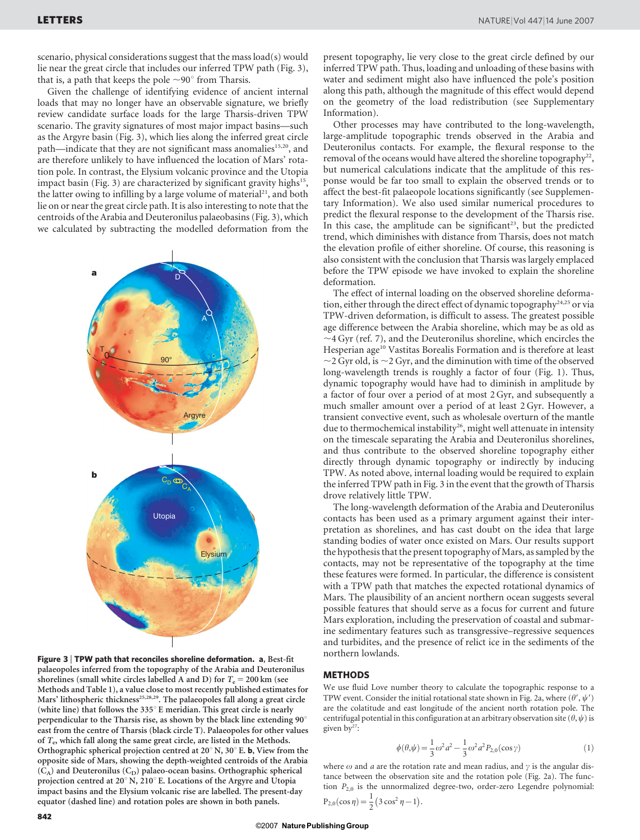scenario, physical considerations suggest that the mass load(s) would lie near the great circle that includes our inferred TPW path (Fig. 3), that is, a path that keeps the pole  $\sim$ 90 $^{\circ}$  from Tharsis.

Given the challenge of identifying evidence of ancient internal loads that may no longer have an observable signature, we briefly review candidate surface loads for the large Tharsis-driven TPW scenario. The gravity signatures of most major impact basins—such as the Argyre basin (Fig. 3), which lies along the inferred great circle path—indicate that they are not significant mass anomalies<sup>15,20</sup>, and are therefore unlikely to have influenced the location of Mars' rotation pole. In contrast, the Elysium volcanic province and the Utopia impact basin (Fig. 3) are characterized by significant gravity highs<sup>15</sup>, the latter owing to infilling by a large volume of material<sup>21</sup>, and both lie on or near the great circle path. It is also interesting to note that the centroids of the Arabia and Deuteronilus palaeobasins (Fig. 3), which we calculated by subtracting the modelled deformation from the



Figure 3 | TPW path that reconciles shoreline deformation. a, Best-fit palaeopoles inferred from the topography of the Arabia and Deuteronilus shorelines (small white circles labelled A and D) for  $T_e = 200$  km (see Methods and Table 1), a value close to most recently published estimates for Mars' lithospheric thickness<sup>25,28,29</sup>. The palaeopoles fall along a great circle (white line) that follows the  $335^{\circ}$  E meridian. This great circle is nearly perpendicular to the Tharsis rise, as shown by the black line extending  $90^\circ$ east from the centre of Tharsis (black circle T). Palaeopoles for other values of  $T_e$ , which fall along the same great circle, are listed in the Methods. Orthographic spherical projection centred at 20 $^{\circ}$  N, 30 $^{\circ}$  E. b, View from the opposite side of Mars, showing the depth-weighted centroids of the Arabia  $(C_A)$  and Deuteronilus  $(C_D)$  palaeo-ocean basins. Orthographic spherical projection centred at 20° N, 210° E. Locations of the Argyre and Utopia impact basins and the Elysium volcanic rise are labelled. The present-day equator (dashed line) and rotation poles are shown in both panels.

present topography, lie very close to the great circle defined by our inferred TPW path. Thus, loading and unloading of these basins with water and sediment might also have influenced the pole's position along this path, although the magnitude of this effect would depend on the geometry of the load redistribution (see Supplementary Information).

Other processes may have contributed to the long-wavelength, large-amplitude topographic trends observed in the Arabia and Deuteronilus contacts. For example, the flexural response to the removal of the oceans would have altered the shoreline topography<sup>22</sup>, but numerical calculations indicate that the amplitude of this response would be far too small to explain the observed trends or to affect the best-fit palaeopole locations significantly (see Supplementary Information). We also used similar numerical procedures to predict the flexural response to the development of the Tharsis rise. In this case, the amplitude can be significant<sup>23</sup>, but the predicted trend, which diminishes with distance from Tharsis, does not match the elevation profile of either shoreline. Of course, this reasoning is also consistent with the conclusion that Tharsis was largely emplaced before the TPW episode we have invoked to explain the shoreline deformation.

The effect of internal loading on the observed shoreline deformation, either through the direct effect of dynamic topography<sup>24,25</sup> or via TPW-driven deformation, is difficult to assess. The greatest possible age difference between the Arabia shoreline, which may be as old as  $\sim$ 4 Gyr (ref. 7), and the Deuteronilus shoreline, which encircles the Hesperian age<sup>10</sup> Vastitas Borealis Formation and is therefore at least  $\sim$  2 Gyr old, is  $\sim$  2 Gyr, and the diminution with time of the observed long-wavelength trends is roughly a factor of four (Fig. 1). Thus, dynamic topography would have had to diminish in amplitude by a factor of four over a period of at most 2 Gyr, and subsequently a much smaller amount over a period of at least 2 Gyr. However, a transient convective event, such as wholesale overturn of the mantle due to thermochemical instability<sup>26</sup>, might well attenuate in intensity on the timescale separating the Arabia and Deuteronilus shorelines, and thus contribute to the observed shoreline topography either directly through dynamic topography or indirectly by inducing TPW. As noted above, internal loading would be required to explain the inferred TPW path in Fig. 3 in the event that the growth of Tharsis drove relatively little TPW.

The long-wavelength deformation of the Arabia and Deuteronilus contacts has been used as a primary argument against their interpretation as shorelines, and has cast doubt on the idea that large standing bodies of water once existed on Mars. Our results support the hypothesis that the present topography of Mars, as sampled by the contacts, may not be representative of the topography at the time these features were formed. In particular, the difference is consistent with a TPW path that matches the expected rotational dynamics of Mars. The plausibility of an ancient northern ocean suggests several possible features that should serve as a focus for current and future Mars exploration, including the preservation of coastal and submarine sedimentary features such as transgressive–regressive sequences and turbidites, and the presence of relict ice in the sediments of the northern lowlands.

## **METHODS**

We use fluid Love number theory to calculate the topographic response to a TPW event. Consider the initial rotational state shown in Fig. 2a, where  $(\theta', \psi')$ are the colatitude and east longitude of the ancient north rotation pole. The centrifugal potential in this configuration at an arbitrary observation site  $(\theta, \psi)$  is given  $by^{27}$ :

$$
\phi(\theta,\psi) = \frac{1}{3}\omega^2 a^2 - \frac{1}{3}\omega^2 a^2 P_{2,0}(\cos\gamma)
$$
 (1)

where  $\omega$  and a are the rotation rate and mean radius, and  $\gamma$  is the angular distance between the observation site and the rotation pole (Fig. 2a). The function  $P_{2,0}$  is the unnormalized degree-two, order-zero Legendre polynomial:  $P_{2,0}(\cos \eta) = \frac{1}{2} (3 \cos^2 \eta - 1).$ 

$$
P_{2,0}(\cos \eta) = \frac{1}{2} (3 \cos^2 \eta - 1)
$$